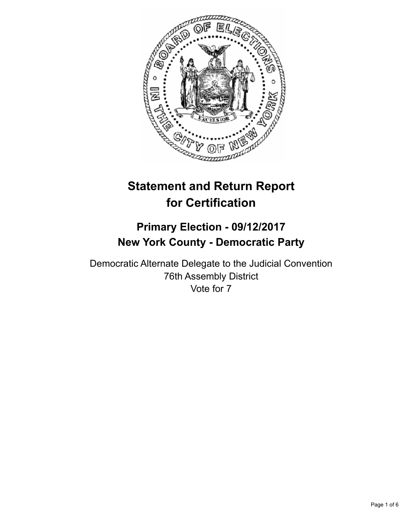

# **Statement and Return Report for Certification**

## **Primary Election - 09/12/2017 New York County - Democratic Party**

Democratic Alternate Delegate to the Judicial Convention 76th Assembly District Vote for 7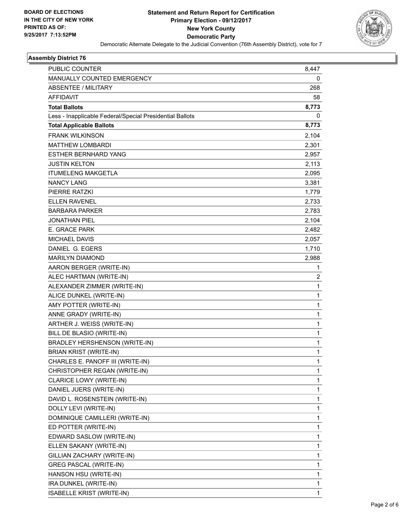

#### **Assembly District 76**

| PUBLIC COUNTER                                           | 8,447 |
|----------------------------------------------------------|-------|
| MANUALLY COUNTED EMERGENCY                               | 0     |
| <b>ABSENTEE / MILITARY</b>                               | 268   |
| <b>AFFIDAVIT</b>                                         | 58    |
| <b>Total Ballots</b>                                     | 8,773 |
| Less - Inapplicable Federal/Special Presidential Ballots | 0     |
| <b>Total Applicable Ballots</b>                          | 8,773 |
| <b>FRANK WILKINSON</b>                                   | 2,104 |
| <b>MATTHEW LOMBARDI</b>                                  | 2,301 |
| ESTHER BERNHARD YANG                                     | 2,957 |
| JUSTIN KELTON                                            | 2,113 |
| <b>ITUMELENG MAKGETLA</b>                                | 2,095 |
| <b>NANCY LANG</b>                                        | 3,381 |
| PIERRE RATZKI                                            | 1,779 |
| <b>ELLEN RAVENEL</b>                                     | 2,733 |
| <b>BARBARA PARKER</b>                                    | 2,783 |
| JONATHAN PIEL                                            | 2,104 |
| E. GRACE PARK                                            | 2,482 |
| <b>MICHAEL DAVIS</b>                                     | 2,057 |
| DANIEL G. EGERS                                          | 1,710 |
| MARILYN DIAMOND                                          | 2,988 |
| AARON BERGER (WRITE-IN)                                  | 1     |
| ALEC HARTMAN (WRITE-IN)                                  | 2     |
| ALEXANDER ZIMMER (WRITE-IN)                              | 1     |
| ALICE DUNKEL (WRITE-IN)                                  | 1     |
| AMY POTTER (WRITE-IN)                                    | 1     |
| ANNE GRADY (WRITE-IN)                                    | 1     |
| ARTHER J. WEISS (WRITE-IN)                               | 1     |
| BILL DE BLASIO (WRITE-IN)                                | 1     |
| <b>BRADLEY HERSHENSON (WRITE-IN)</b>                     | 1     |
| <b>BRIAN KRIST (WRITE-IN)</b>                            | 1     |
| CHARLES E. PANOFF III (WRITE-IN)                         | 1     |
| CHRISTOPHER REGAN (WRITE-IN)                             | 1     |
| CLARICE LOWY (WRITE-IN)                                  | 1     |
| DANIEL JUERS (WRITE-IN)                                  | 1     |
| DAVID L. ROSENSTEIN (WRITE-IN)                           | 1     |
| DOLLY LEVI (WRITE-IN)                                    | 1     |
| DOMINIQUE CAMILLERI (WRITE-IN)                           | 1     |
| ED POTTER (WRITE-IN)                                     | 1     |
| EDWARD SASLOW (WRITE-IN)                                 | 1     |
| ELLEN SAKANY (WRITE-IN)                                  | 1     |
| GILLIAN ZACHARY (WRITE-IN)                               | 1     |
| GREG PASCAL (WRITE-IN)                                   | 1     |
| HANSON HSU (WRITE-IN)                                    | 1     |
| IRA DUNKEL (WRITE-IN)                                    | 1     |
| ISABELLE KRIST (WRITE-IN)                                | 1     |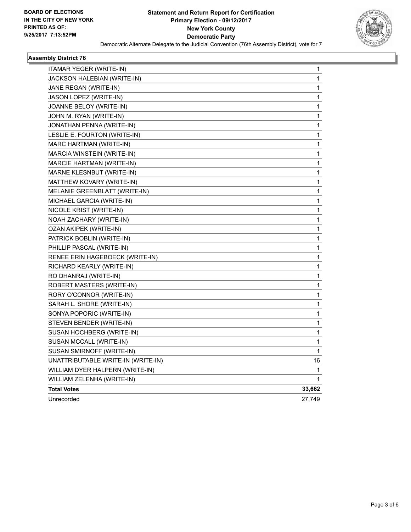

#### **Assembly District 76**

| ITAMAR YEGER (WRITE-IN)            | 1      |
|------------------------------------|--------|
| JACKSON HALEBIAN (WRITE-IN)        | 1      |
| JANE REGAN (WRITE-IN)              | 1      |
| JASON LOPEZ (WRITE-IN)             | 1      |
| JOANNE BELOY (WRITE-IN)            | 1      |
| JOHN M. RYAN (WRITE-IN)            | 1      |
| JONATHAN PENNA (WRITE-IN)          | 1      |
| LESLIE E. FOURTON (WRITE-IN)       | 1      |
| MARC HARTMAN (WRITE-IN)            | 1      |
| MARCIA WINSTEIN (WRITE-IN)         | 1      |
| <b>MARCIE HARTMAN (WRITE-IN)</b>   | 1      |
| MARNE KLESNBUT (WRITE-IN)          | 1      |
| MATTHEW KOVARY (WRITE-IN)          | 1      |
| MELANIE GREENBLATT (WRITE-IN)      | 1      |
| MICHAEL GARCIA (WRITE-IN)          | 1      |
| NICOLE KRIST (WRITE-IN)            | 1      |
| NOAH ZACHARY (WRITE-IN)            | 1      |
| OZAN AKIPEK (WRITE-IN)             | 1      |
| PATRICK BOBLIN (WRITE-IN)          | 1      |
| PHILLIP PASCAL (WRITE-IN)          | 1      |
| RENEE ERIN HAGEBOECK (WRITE-IN)    | 1      |
| RICHARD KEARLY (WRITE-IN)          | 1      |
| RO DHANRAJ (WRITE-IN)              | 1      |
| ROBERT MASTERS (WRITE-IN)          | 1      |
| RORY O'CONNOR (WRITE-IN)           | 1      |
| SARAH L. SHORE (WRITE-IN)          | 1      |
| SONYA POPORIC (WRITE-IN)           | 1      |
| STEVEN BENDER (WRITE-IN)           | 1      |
| SUSAN HOCHBERG (WRITE-IN)          | 1      |
| SUSAN MCCALL (WRITE-IN)            | 1      |
| SUSAN SMIRNOFF (WRITE-IN)          | 1      |
| UNATTRIBUTABLE WRITE-IN (WRITE-IN) | 16     |
| WILLIAM DYER HALPERN (WRITE-IN)    | 1      |
| WILLIAM ZELENHA (WRITE-IN)         | 1      |
| <b>Total Votes</b>                 | 33,662 |
| Unrecorded                         | 27,749 |
|                                    |        |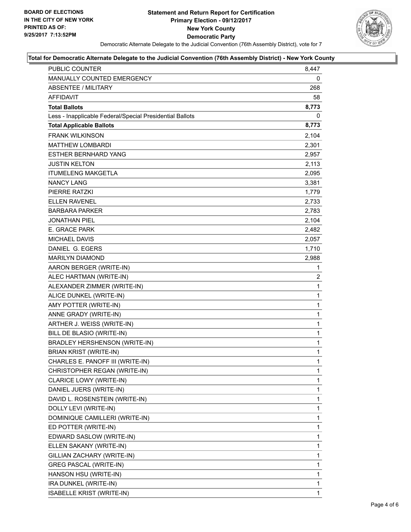

#### **Total for Democratic Alternate Delegate to the Judicial Convention (76th Assembly District) - New York County**

| PUBLIC COUNTER                                           | 8,447        |
|----------------------------------------------------------|--------------|
| MANUALLY COUNTED EMERGENCY                               | 0            |
| <b>ABSENTEE / MILITARY</b>                               | 268          |
| AFFIDAVIT                                                | 58           |
| <b>Total Ballots</b>                                     | 8,773        |
| Less - Inapplicable Federal/Special Presidential Ballots | 0            |
| <b>Total Applicable Ballots</b>                          | 8,773        |
| <b>FRANK WILKINSON</b>                                   | 2,104        |
| <b>MATTHEW LOMBARDI</b>                                  | 2,301        |
| <b>ESTHER BERNHARD YANG</b>                              | 2,957        |
| <b>JUSTIN KELTON</b>                                     | 2,113        |
| <b>ITUMELENG MAKGETLA</b>                                | 2,095        |
| <b>NANCY LANG</b>                                        | 3,381        |
| PIERRE RATZKI                                            | 1,779        |
| <b>ELLEN RAVENEL</b>                                     | 2,733        |
| <b>BARBARA PARKER</b>                                    | 2,783        |
| JONATHAN PIEL                                            | 2,104        |
| E. GRACE PARK                                            | 2,482        |
| <b>MICHAEL DAVIS</b>                                     | 2,057        |
| DANIEL G. EGERS                                          | 1,710        |
| <b>MARILYN DIAMOND</b>                                   | 2,988        |
| AARON BERGER (WRITE-IN)                                  | 1            |
| ALEC HARTMAN (WRITE-IN)                                  | 2            |
| ALEXANDER ZIMMER (WRITE-IN)                              | $\mathbf{1}$ |
| ALICE DUNKEL (WRITE-IN)                                  | 1            |
| AMY POTTER (WRITE-IN)                                    | 1            |
| ANNE GRADY (WRITE-IN)                                    | 1            |
| ARTHER J. WEISS (WRITE-IN)                               | 1            |
| BILL DE BLASIO (WRITE-IN)                                | 1            |
| <b>BRADLEY HERSHENSON (WRITE-IN)</b>                     | 1            |
| <b>BRIAN KRIST (WRITE-IN)</b>                            | 1            |
| CHARLES E. PANOFF III (WRITE-IN)                         | 1            |
| CHRISTOPHER REGAN (WRITE-IN)                             | 1            |
| CLARICE LOWY (WRITE-IN)                                  | 1            |
| DANIEL JUERS (WRITE-IN)                                  | 1            |
| DAVID L. ROSENSTEIN (WRITE-IN)                           | 1            |
| DOLLY LEVI (WRITE-IN)                                    | 1            |
| DOMINIQUE CAMILLERI (WRITE-IN)                           | 1            |
| ED POTTER (WRITE-IN)                                     | 1            |
| EDWARD SASLOW (WRITE-IN)                                 | 1            |
| ELLEN SAKANY (WRITE-IN)                                  | 1            |
| GILLIAN ZACHARY (WRITE-IN)                               | 1            |
| <b>GREG PASCAL (WRITE-IN)</b>                            | 1            |
| HANSON HSU (WRITE-IN)                                    | 1            |
| IRA DUNKEL (WRITE-IN)                                    | 1            |
| ISABELLE KRIST (WRITE-IN)                                | 1            |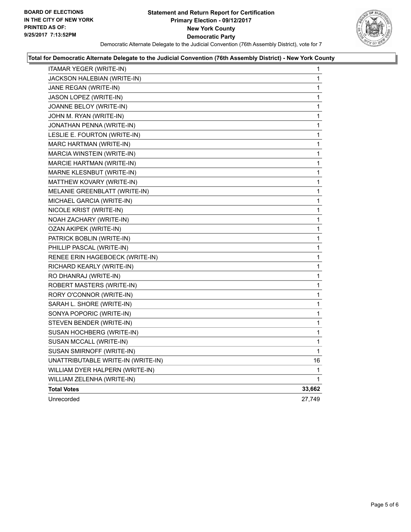#### **Statement and Return Report for Certification Primary Election - 09/12/2017 New York County Democratic Party** Democratic Alternate Delegate to the Judicial Convention (76th Assembly District), vote for 7



#### **Total for Democratic Alternate Delegate to the Judicial Convention (76th Assembly District) - New York County**

| ITAMAR YEGER (WRITE-IN)            | 1            |
|------------------------------------|--------------|
| JACKSON HALEBIAN (WRITE-IN)        | 1            |
| JANE REGAN (WRITE-IN)              | 1            |
| JASON LOPEZ (WRITE-IN)             | 1            |
| JOANNE BELOY (WRITE-IN)            | 1            |
| JOHN M. RYAN (WRITE-IN)            | 1            |
| JONATHAN PENNA (WRITE-IN)          | 1            |
| LESLIE E. FOURTON (WRITE-IN)       | 1            |
| MARC HARTMAN (WRITE-IN)            | 1            |
| MARCIA WINSTEIN (WRITE-IN)         | 1            |
| <b>MARCIE HARTMAN (WRITE-IN)</b>   | 1            |
| MARNE KLESNBUT (WRITE-IN)          | 1            |
| MATTHEW KOVARY (WRITE-IN)          | 1            |
| MELANIE GREENBLATT (WRITE-IN)      | 1            |
| MICHAEL GARCIA (WRITE-IN)          | 1            |
| NICOLE KRIST (WRITE-IN)            | $\mathbf 1$  |
| NOAH ZACHARY (WRITE-IN)            | 1            |
| OZAN AKIPEK (WRITE-IN)             | 1            |
| PATRICK BOBLIN (WRITE-IN)          | 1            |
| PHILLIP PASCAL (WRITE-IN)          | 1            |
| RENEE ERIN HAGEBOECK (WRITE-IN)    | 1            |
| RICHARD KEARLY (WRITE-IN)          | 1            |
| RO DHANRAJ (WRITE-IN)              | $\mathbf{1}$ |
| ROBERT MASTERS (WRITE-IN)          | 1            |
| RORY O'CONNOR (WRITE-IN)           | 1            |
| SARAH L. SHORE (WRITE-IN)          | 1            |
| SONYA POPORIC (WRITE-IN)           | 1            |
| STEVEN BENDER (WRITE-IN)           | 1            |
| SUSAN HOCHBERG (WRITE-IN)          | 1            |
| SUSAN MCCALL (WRITE-IN)            | 1            |
| SUSAN SMIRNOFF (WRITE-IN)          | 1            |
| UNATTRIBUTABLE WRITE-IN (WRITE-IN) | 16           |
| WILLIAM DYER HALPERN (WRITE-IN)    | 1            |
| WILLIAM ZELENHA (WRITE-IN)         | $\mathbf 1$  |
| <b>Total Votes</b>                 | 33,662       |
| Unrecorded                         | 27,749       |